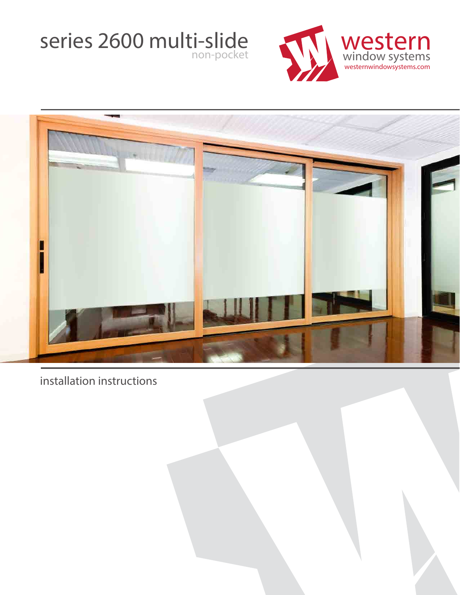





### installation instructions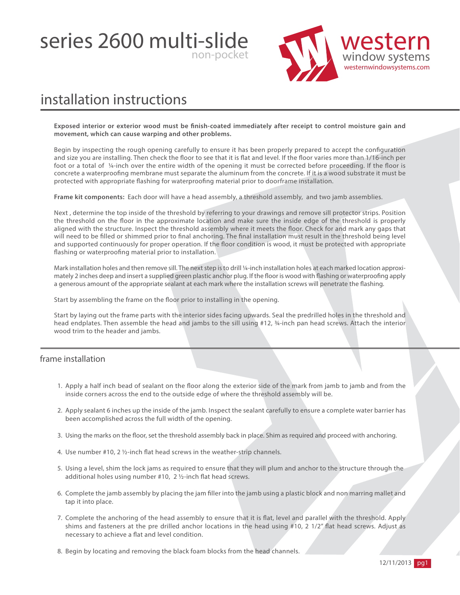

# installation instructions

Exposed interior or exterior wood must be finish-coated immediately after receipt to control moisture gain and **movement, which can cause warping and other problems.**

Begin by inspecting the rough opening carefully to ensure it has been properly prepared to accept the configuration and size you are installing. Then check the floor to see that it is flat and level. If the floor varies more than 1/16-inch per foot or a total of 1/4-inch over the entire width of the opening it must be corrected before proceeding. If the floor is concrete a waterproofing membrane must separate the aluminum from the concrete. If it is a wood substrate it must be protected with appropriate flashing for waterproofing material prior to doorframe installation.

**Frame kit components:** Each door will have a head assembly, a threshold assembly, and two jamb assemblies.

Next , determine the top inside of the threshold by referring to your drawings and remove sill protector strips. Position the threshold on the floor in the approximate location and make sure the inside edge of the threshold is properly aligned with the structure. Inspect the threshold assembly where it meets the floor. Check for and mark any gaps that will need to be filled or shimmed prior to final anchoring. The final installation must result in the threshold being level and supported continuously for proper operation. If the floor condition is wood, it must be protected with appropriate flashing or waterproofing material prior to installation.

Mark installation holes and then remove sill. The next step is to drill ¼-inch installation holes at each marked location approximately 2 inches deep and insert a supplied green plastic anchor plug. If the floor is wood with flashing or waterproofing apply a generous amount of the appropriate sealant at each mark where the installation screws will penetrate the flashing.

Start by assembling the frame on the floor prior to installing in the opening.

Start by laying out the frame parts with the interior sides facing upwards. Seal the predrilled holes in the threshold and head endplates. Then assemble the head and jambs to the sill using #12, ¾-inch pan head screws. Attach the interior wood trim to the header and jambs.

#### frame installation

- 1. Apply a half inch bead of sealant on the floor along the exterior side of the mark from jamb to jamb and from the inside corners across the end to the outside edge of where the threshold assembly will be.
- 2. Apply sealant 6 inches up the inside of the jamb. Inspect the sealant carefully to ensure a complete water barrier has been accomplished across the full width of the opening.
- 3. Using the marks on the floor, set the threshold assembly back in place. Shim as required and proceed with anchoring.
- 4. Use number  $#10$ , 2  $\frac{1}{2}$ -inch flat head screws in the weather-strip channels.
- 5. Using a level, shim the lock jams as required to ensure that they will plum and anchor to the structure through the additional holes using number  $#10$ , 2  $\frac{1}{2}$ -inch flat head screws.
- 6. Complete the jamb assembly by placing the jam filler into the jamb using a plastic block and non marring mallet and tap it into place.
- 7. Complete the anchoring of the head assembly to ensure that it is flat, level and parallel with the threshold. Apply shims and fasteners at the pre drilled anchor locations in the head using #10, 2 1/2" flat head screws. Adjust as necessary to achieve a flat and level condition.
- 8. Begin by locating and removing the black foam blocks from the head channels.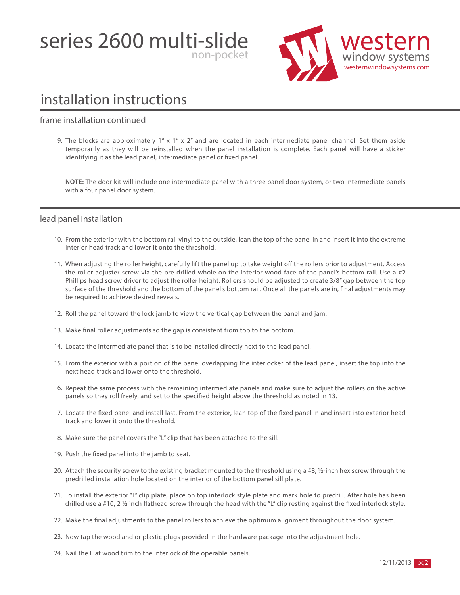

# installation instructions

#### frame installation continued

9. The blocks are approximately  $1'' \times 1'' \times 2''$  and are located in each intermediate panel channel. Set them aside temporarily as they will be reinstalled when the panel installation is complete. Each panel will have a sticker identifying it as the lead panel, intermediate panel or fixed panel.

**NOTE:** The door kit will include one intermediate panel with a three panel door system, or two intermediate panels with a four panel door system.

### lead panel installation

- 10. From the exterior with the bottom rail vinyl to the outside, lean the top of the panel in and insert it into the extreme Interior head track and lower it onto the threshold.
- 11. When adjusting the roller height, carefully lift the panel up to take weight off the rollers prior to adjustment. Access the roller adjuster screw via the pre drilled whole on the interior wood face of the panel's bottom rail. Use a #2 Phillips head screw driver to adjust the roller height. Rollers should be adjusted to create 3/8" gap between the top surface of the threshold and the bottom of the panel's bottom rail. Once all the panels are in, final adjustments may be required to achieve desired reveals.
- 12. Roll the panel toward the lock jamb to view the vertical gap between the panel and jam.
- 13. Make final roller adjustments so the gap is consistent from top to the bottom.
- 14. Locate the intermediate panel that is to be installed directly next to the lead panel.
- 15. From the exterior with a portion of the panel overlapping the interlocker of the lead panel, insert the top into the next head track and lower onto the threshold.
- 16. Repeat the same process with the remaining intermediate panels and make sure to adjust the rollers on the active panels so they roll freely, and set to the specified height above the threshold as noted in 13.
- 17. Locate the fixed panel and install last. From the exterior, lean top of the fixed panel in and insert into exterior head track and lower it onto the threshold.
- 18. Make sure the panel covers the "L" clip that has been attached to the sill.
- 19. Push the fixed panel into the jamb to seat.
- 20. Attach the security screw to the existing bracket mounted to the threshold using a #8, ½-inch hex screw through the predrilled installation hole located on the interior of the bottom panel sill plate.
- 21. To install the exterior "L" clip plate, place on top interlock style plate and mark hole to predrill. After hole has been drilled use a #10, 2  $\frac{1}{2}$  inch flathead screw through the head with the "L" clip resting against the fixed interlock style.
- 22. Make the final adjustments to the panel rollers to achieve the optimum alignment throughout the door system.
- 23. Now tap the wood and or plastic plugs provided in the hardware package into the adjustment hole.
- 24. Nail the Flat wood trim to the interlock of the operable panels.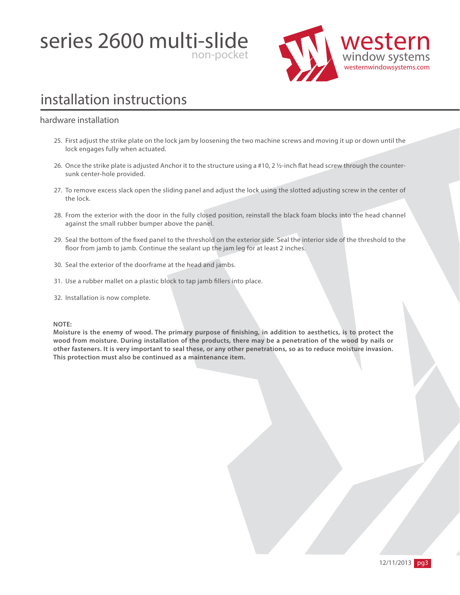

# installation instructions

### hardware installation

- 25. First adjust the strike plate on the lock jam by loosening the two machine screws and moving it up or down until the lock engages fully when actuated.
- 26. Once the strike plate is adjusted Anchor it to the structure using a #10, 2 ½-inch flat head screw through the countersunk center-hole provided.
- 27. To remove excess slack open the sliding panel and adjust the lock using the slotted adjusting screw in the center of the lock.
- 28. From the exterior with the door in the fully closed position, reinstall the black foam blocks into the head channel against the small rubber bumper above the panel.
- 29. Seal the bottom of the fixed panel to the threshold on the exterior side. Seal the interior side of the threshold to the floor from jamb to jamb. Continue the sealant up the jam leg for at least 2 inches.
- 30. Seal the exterior of the doorframe at the head and jambs.
- 31. Use a rubber mallet on a plastic block to tap jamb fillers into place.
- 32. Installation is now complete.

#### **NOTE:**

**Moisture is the enemy of wood. The primary purpose of nishing, in addition to aesthetics, is to protect the wood from moisture. During installation of the products, there may be a penetration of the wood by nails or other fasteners. It is very important to seal these, or any other penetrations, so as to reduce moisture invasion. This protection must also be continued as a maintenance item.**